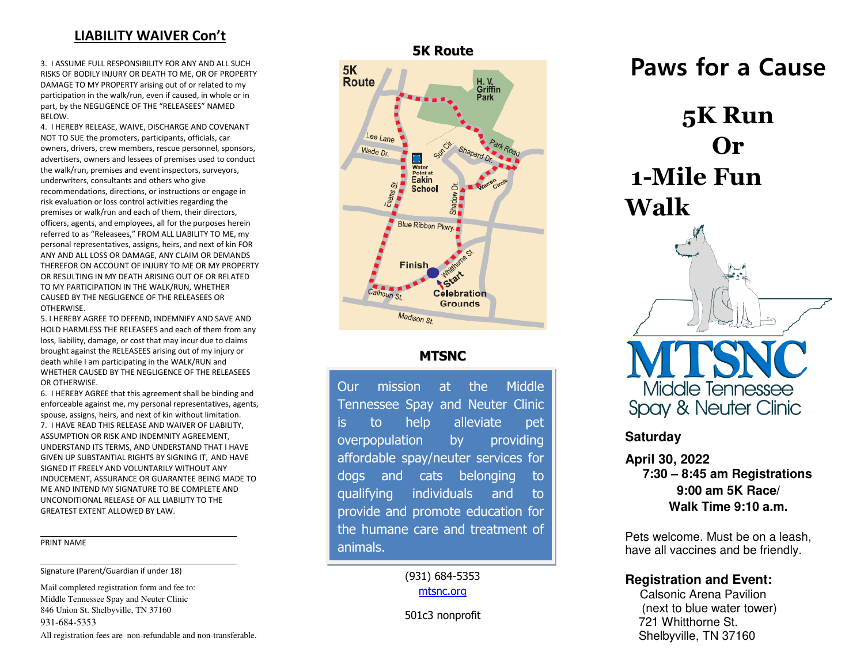## **LIABILITY WAIVER Con't**

3. I ASSUME FULL RESPONSIBILITY FOR ANY AND ALL SUCH RISKS OF BODILY INJURY OR DEATH TO ME, OR OF PROPERTY DAMAGE TO MY PROPERTY arising out of or related to my participation in the walk/run, even if caused, in whole or in part, by the NEGLIGENCE OF THE "RELEASEES" NAMED BELOW.

 premises or walk/run and each of them, their directors, 4. I HEREBY RELEASE, WAIVE, DISCHARGE AND COVENANT NOT TO SUE the promoters, participants, officials, car owners, drivers, crew members, rescue personnel, sponsors, advertisers, owners and lessees of premises used to conduct the walk/run, premises and event inspectors, surveyors, underwriters, consultants and others who give recommendations, directions, or instructions or engage in risk evaluation or loss control activities regarding the officers, agents, and employees, all for the purposes herein referred to as "Releasees," FROM ALL LIABILITY TO ME, my personal representatives, assigns, heirs, and next of kin FOR ANY AND ALL LOSS OR DAMAGE, ANY CLAIM OR DEMANDS THEREFOR ON ACCOUNT OF INJURY TO ME OR MY PROPERTY OR RESULTING IN MY DEATH ARISING OUT OF OR RELATED TO MY PARTICIPATION IN THE WALK/RUN, WHETHER CAUSED BY THE NEGLIGENCE OF THE RELEASEES OR OTHERWISE.

 brought against the RELEASEES arising out of my injury or 5. I HEREBY AGREE TO DEFEND, INDEMNIFY AND SAVE AND HOLD HARMLESS THE RELEASEES and each of them from any loss, liability, damage, or cost that may incur due to claims death while I am participating in the WALK/RUN and WHETHER CAUSED BY THE NEGLIGENCE OF THE RELEASEES OR OTHERWISE.

6. I HEREBY AGREE that this agreement shall be binding and enforceable against me, my personal representatives, agents, spouse, assigns, heirs, and next of kin without limitation. 7. I HAVE READ THIS RELEASE AND WAIVER OF LIABILITY, ASSUMPTION OR RISK AND INDEMNITY AGREEMENT, UNDERSTAND ITS TERMS, AND UNDERSTAND THAT I HAVE GIVEN UP SUBSTANTIAL RIGHTS BY SIGNING IT, AND HAVE SIGNED IT FREELY AND VOLUNTARILY WITHOUT ANY INDUCEMENT, ASSURANCE OR GUARANTEE BEING MADE TO ME AND INTEND MY SIGNATURE TO BE COMPLETE AND UNCONDITIONAL RELEASE OF ALL LIABILITY TO THE GREATEST EXTENT ALLOWED BY LAW.

#### PRINT NAME

l

Signature (Parent/Guardian if under 18)

Mail completed registration form and fee to: Middle Tennessee Spay and Neuter Clinic 846 Union St. Shelbyville, TN 37160 931-684-5353 All registration fees are non-refundable and non-transferable.



5K



### **MTSNC**

Our mission at the Middle Tennessee Spay and Neuter Clinic is to help alleviate pet overpopulation by providing affordable spay/neuter services for dogs and cats belonging to qualifying individuals and to provide and promote education for the humane care and treatment of animals.

> (931) 684-5353 [mtsnc.org](mailto:unitedwaybedford@bellsouth.net)

501c3 nonprofit

**Paws for a Cause** 

**5K Run Or 1-Mile Fun Walk** 



#### **Saturday**

**April 30, 2022 7:30 – 8:45 am Registrations 9:00 am 5K Race/ Walk Time 9:10 a.m.** 

Pets welcome. Must be on a leash, have all vaccines and be friendly.

#### **Registration and Event:**

Calsonic Arena Pavilion (next to blue water tower) 721 Whitthorne St. Shelbyville, TN 37160